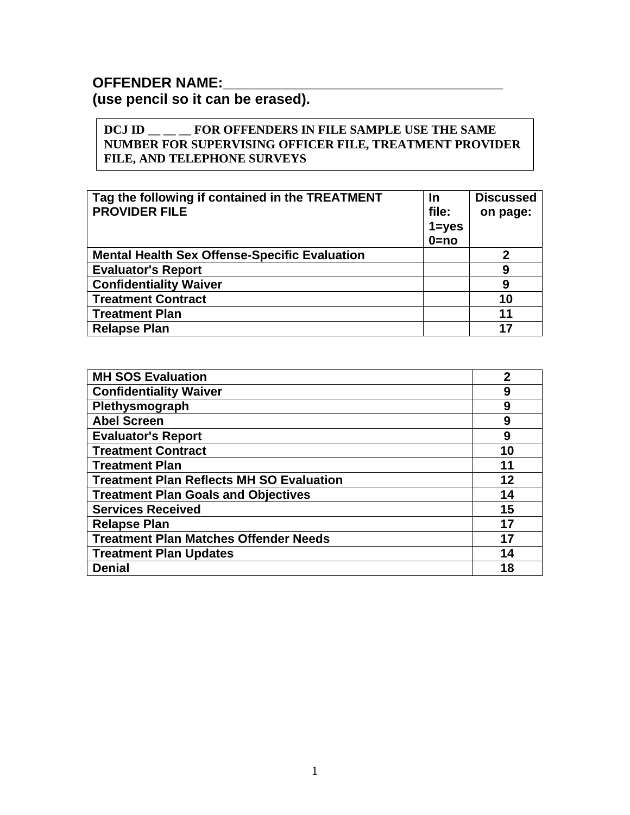### **OFFENDER NAME:**

**(use pencil so it can be erased).** 

#### **DCJ ID \_\_ \_\_ \_\_ FOR OFFENDERS IN FILE SAMPLE USE THE SAME NUMBER FOR SUPERVISING OFFICER FILE, TREATMENT PROVIDER FILE, AND TELEPHONE SURVEYS**

| Tag the following if contained in the TREATMENT<br><b>PROVIDER FILE</b> | <b>In</b><br>file:<br>$1 = yes$<br>$0 = no$ | <b>Discussed</b><br>on page: |
|-------------------------------------------------------------------------|---------------------------------------------|------------------------------|
| <b>Mental Health Sex Offense-Specific Evaluation</b>                    |                                             | $\mathbf 2$                  |
| <b>Evaluator's Report</b>                                               |                                             | 9                            |
| <b>Confidentiality Waiver</b>                                           |                                             | 9                            |
| <b>Treatment Contract</b>                                               |                                             | 10                           |
| <b>Treatment Plan</b>                                                   |                                             | 11                           |
| <b>Relapse Plan</b>                                                     |                                             | 17                           |

| <b>MH SOS Evaluation</b>                        | 2  |
|-------------------------------------------------|----|
| <b>Confidentiality Waiver</b>                   | 9  |
| Plethysmograph                                  | 9  |
| <b>Abel Screen</b>                              | 9  |
| <b>Evaluator's Report</b>                       | 9  |
| <b>Treatment Contract</b>                       | 10 |
| <b>Treatment Plan</b>                           | 11 |
| <b>Treatment Plan Reflects MH SO Evaluation</b> | 12 |
| <b>Treatment Plan Goals and Objectives</b>      | 14 |
| <b>Services Received</b>                        | 15 |
| <b>Relapse Plan</b>                             | 17 |
| <b>Treatment Plan Matches Offender Needs</b>    | 17 |
| <b>Treatment Plan Updates</b>                   | 14 |
| <b>Denial</b>                                   | 18 |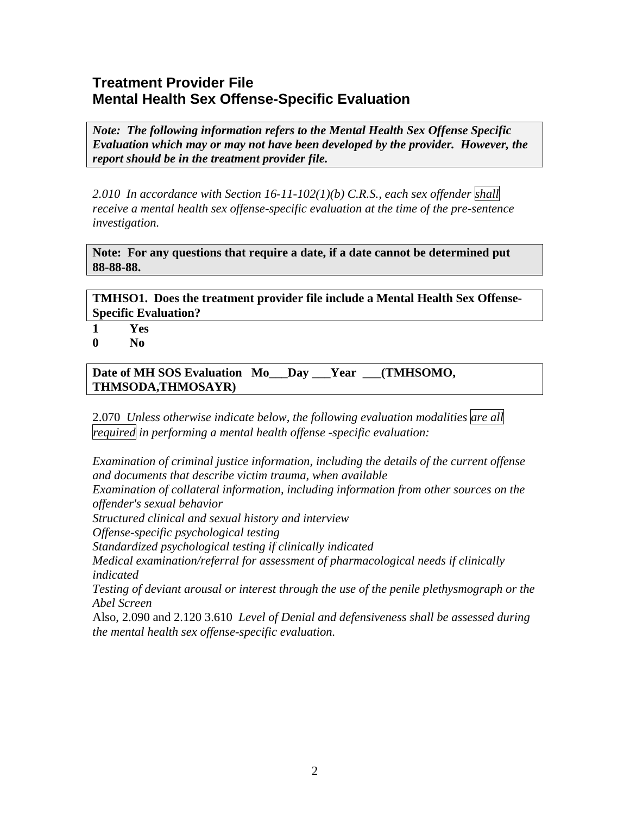# **Treatment Provider File Mental Health Sex Offense-Specific Evaluation**

*Note: The following information refers to the Mental Health Sex Offense Specific Evaluation which may or may not have been developed by the provider. However, the report should be in the treatment provider file.*

*2.010 In accordance with Section 16-11-102(1)(b) C.R.S., each sex offender shall receive a mental health sex offense-specific evaluation at the time of the pre-sentence investigation.* 

**Note: For any questions that require a date, if a date cannot be determined put 88-88-88.** 

**TMHSO1. Does the treatment provider file include a Mental Health Sex Offense-Specific Evaluation?** 

- **1 Yes**
- **0 No**

**Date of MH SOS Evaluation Mo\_\_\_Day \_\_\_Year \_\_\_(TMHSOMO, THMSODA,THMOSAYR)**

2.070 *Unless otherwise indicate below, the following evaluation modalities are all required in performing a mental health offense -specific evaluation:*

*Examination of criminal justice information, including the details of the current offense and documents that describe victim trauma, when available* 

*Examination of collateral information, including information from other sources on the offender's sexual behavior* 

*Structured clinical and sexual history and interview* 

*Offense-specific psychological testing* 

*Standardized psychological testing if clinically indicated* 

*Medical examination/referral for assessment of pharmacological needs if clinically indicated* 

*Testing of deviant arousal or interest through the use of the penile plethysmograph or the Abel Screen*

Also, 2.090 and 2.120 3.610 *Level of Denial and defensiveness shall be assessed during the mental health sex offense-specific evaluation.*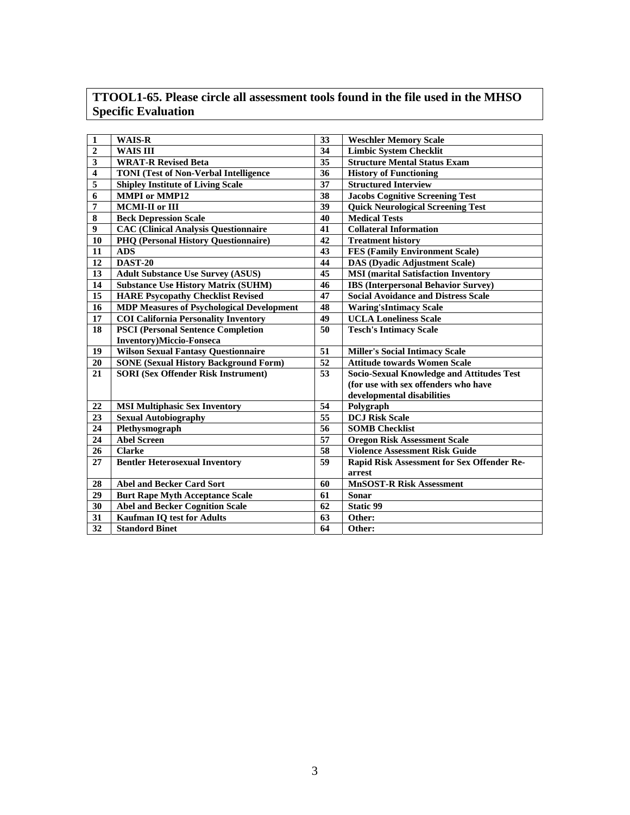### **TTOOL1-65. Please circle all assessment tools found in the file used in the MHSO Specific Evaluation**

| $\overline{2}$<br><b>WAIS III</b><br>34<br><b>Limbic System Checklit</b><br>$\overline{35}$<br>$\overline{\mathbf{3}}$<br><b>Structure Mental Status Exam</b><br><b>WRAT-R Revised Beta</b><br>$\overline{\mathbf{4}}$<br>$\overline{36}$<br><b>TONI</b> (Test of Non-Verbal Intelligence<br><b>History of Functioning</b><br>$\overline{\mathbf{5}}$<br>$\overline{37}$<br><b>Shipley Institute of Living Scale</b><br><b>Structured Interview</b><br>$\overline{38}$<br>6<br><b>MMPI</b> or MMP12<br><b>Jacobs Cognitive Screening Test</b><br>7<br>39<br>MCMI-II or III<br><b>Quick Neurological Screening Test</b><br>$\overline{\bf 8}$<br>40<br><b>Beck Depression Scale</b><br><b>Medical Tests</b><br>$\boldsymbol{9}$<br><b>CAC (Clinical Analysis Questionnaire</b><br>41<br><b>Collateral Information</b><br>42<br>10<br><b>PHQ (Personal History Questionnaire)</b><br><b>Treatment history</b><br>11<br><b>ADS</b><br>43<br><b>FES (Family Environment Scale)</b><br>12<br><b>DAST-20</b><br>44<br><b>DAS</b> (Dyadic Adjustment Scale)<br>45<br>13<br><b>Adult Substance Use Survey (ASUS)</b><br><b>MSI</b> (marital Satisfaction Inventory<br>46<br>14<br><b>Substance Use History Matrix (SUHM)</b><br><b>IBS</b> (Interpersonal Behavior Survey)<br>$\overline{15}$<br>47<br><b>HARE Psycopathy Checklist Revised</b><br><b>Social Avoidance and Distress Scale</b><br>16<br><b>MDP Measures of Psychological Development</b><br>48<br><b>Waring'sIntimacy Scale</b><br><b>COI California Personality Inventory</b><br>49<br><b>UCLA Loneliness Scale</b><br>17<br>18<br><b>PSCI</b> (Personal Sentence Completion<br>50<br><b>Tesch's Intimacy Scale</b><br><b>Inventory)Miccio-Fonseca</b><br>51<br>19<br><b>Wilson Sexual Fantasy Questionnaire</b><br><b>Miller's Social Intimacy Scale</b><br>$\overline{52}$<br><b>SONE</b> (Sexual History Background Form)<br><b>Attitude towards Women Scale</b><br>20<br>53<br>21<br><b>SORI</b> (Sex Offender Risk Instrument)<br><b>Socio-Sexual Knowledge and Attitudes Test</b><br>(for use with sex offenders who have<br>developmental disabilities<br>54<br>22<br><b>MSI Multiphasic Sex Inventory</b><br>Polygraph<br>$\overline{55}$<br><b>DCJ Risk Scale</b><br>$\overline{23}$<br><b>Sexual Autobiography</b><br>$\overline{56}$<br>24<br>Plethysmograph<br><b>SOMB Checklist</b><br>$\overline{57}$<br>24<br><b>Abel Screen</b><br><b>Oregon Risk Assessment Scale</b><br>58<br><b>Violence Assessment Risk Guide</b><br>26<br><b>Clarke</b><br>27<br>59<br><b>Bentler Heterosexual Inventory</b><br>Rapid Risk Assessment for Sex Offender Re-<br>arrest<br><b>Abel and Becker Card Sort</b><br>60<br><b>MnSOST-R Risk Assessment</b><br>28<br>29<br><b>Burt Rape Myth Acceptance Scale</b><br>61<br><b>Sonar</b><br><b>Abel and Becker Cognition Scale</b><br><b>Static 99</b><br>30<br>62<br>$\overline{31}$<br>Kaufman IQ test for Adults<br>Other:<br>63 | $\mathbf{1}$ | <b>WAIS-R</b>         | 33 | <b>Weschler Memory Scale</b> |
|---------------------------------------------------------------------------------------------------------------------------------------------------------------------------------------------------------------------------------------------------------------------------------------------------------------------------------------------------------------------------------------------------------------------------------------------------------------------------------------------------------------------------------------------------------------------------------------------------------------------------------------------------------------------------------------------------------------------------------------------------------------------------------------------------------------------------------------------------------------------------------------------------------------------------------------------------------------------------------------------------------------------------------------------------------------------------------------------------------------------------------------------------------------------------------------------------------------------------------------------------------------------------------------------------------------------------------------------------------------------------------------------------------------------------------------------------------------------------------------------------------------------------------------------------------------------------------------------------------------------------------------------------------------------------------------------------------------------------------------------------------------------------------------------------------------------------------------------------------------------------------------------------------------------------------------------------------------------------------------------------------------------------------------------------------------------------------------------------------------------------------------------------------------------------------------------------------------------------------------------------------------------------------------------------------------------------------------------------------------------------------------------------------------------------------------------------------------------------------------------------------------------------------------------------------------------------------------------------------------------------------------------------------------------------------------------------------------------------------------------------------------------------------------------------------------------------------------------------------------------------------------------------------------------------------------|--------------|-----------------------|----|------------------------------|
|                                                                                                                                                                                                                                                                                                                                                                                                                                                                                                                                                                                                                                                                                                                                                                                                                                                                                                                                                                                                                                                                                                                                                                                                                                                                                                                                                                                                                                                                                                                                                                                                                                                                                                                                                                                                                                                                                                                                                                                                                                                                                                                                                                                                                                                                                                                                                                                                                                                                                                                                                                                                                                                                                                                                                                                                                                                                                                                                       |              |                       |    |                              |
|                                                                                                                                                                                                                                                                                                                                                                                                                                                                                                                                                                                                                                                                                                                                                                                                                                                                                                                                                                                                                                                                                                                                                                                                                                                                                                                                                                                                                                                                                                                                                                                                                                                                                                                                                                                                                                                                                                                                                                                                                                                                                                                                                                                                                                                                                                                                                                                                                                                                                                                                                                                                                                                                                                                                                                                                                                                                                                                                       |              |                       |    |                              |
|                                                                                                                                                                                                                                                                                                                                                                                                                                                                                                                                                                                                                                                                                                                                                                                                                                                                                                                                                                                                                                                                                                                                                                                                                                                                                                                                                                                                                                                                                                                                                                                                                                                                                                                                                                                                                                                                                                                                                                                                                                                                                                                                                                                                                                                                                                                                                                                                                                                                                                                                                                                                                                                                                                                                                                                                                                                                                                                                       |              |                       |    |                              |
|                                                                                                                                                                                                                                                                                                                                                                                                                                                                                                                                                                                                                                                                                                                                                                                                                                                                                                                                                                                                                                                                                                                                                                                                                                                                                                                                                                                                                                                                                                                                                                                                                                                                                                                                                                                                                                                                                                                                                                                                                                                                                                                                                                                                                                                                                                                                                                                                                                                                                                                                                                                                                                                                                                                                                                                                                                                                                                                                       |              |                       |    |                              |
|                                                                                                                                                                                                                                                                                                                                                                                                                                                                                                                                                                                                                                                                                                                                                                                                                                                                                                                                                                                                                                                                                                                                                                                                                                                                                                                                                                                                                                                                                                                                                                                                                                                                                                                                                                                                                                                                                                                                                                                                                                                                                                                                                                                                                                                                                                                                                                                                                                                                                                                                                                                                                                                                                                                                                                                                                                                                                                                                       |              |                       |    |                              |
|                                                                                                                                                                                                                                                                                                                                                                                                                                                                                                                                                                                                                                                                                                                                                                                                                                                                                                                                                                                                                                                                                                                                                                                                                                                                                                                                                                                                                                                                                                                                                                                                                                                                                                                                                                                                                                                                                                                                                                                                                                                                                                                                                                                                                                                                                                                                                                                                                                                                                                                                                                                                                                                                                                                                                                                                                                                                                                                                       |              |                       |    |                              |
|                                                                                                                                                                                                                                                                                                                                                                                                                                                                                                                                                                                                                                                                                                                                                                                                                                                                                                                                                                                                                                                                                                                                                                                                                                                                                                                                                                                                                                                                                                                                                                                                                                                                                                                                                                                                                                                                                                                                                                                                                                                                                                                                                                                                                                                                                                                                                                                                                                                                                                                                                                                                                                                                                                                                                                                                                                                                                                                                       |              |                       |    |                              |
|                                                                                                                                                                                                                                                                                                                                                                                                                                                                                                                                                                                                                                                                                                                                                                                                                                                                                                                                                                                                                                                                                                                                                                                                                                                                                                                                                                                                                                                                                                                                                                                                                                                                                                                                                                                                                                                                                                                                                                                                                                                                                                                                                                                                                                                                                                                                                                                                                                                                                                                                                                                                                                                                                                                                                                                                                                                                                                                                       |              |                       |    |                              |
|                                                                                                                                                                                                                                                                                                                                                                                                                                                                                                                                                                                                                                                                                                                                                                                                                                                                                                                                                                                                                                                                                                                                                                                                                                                                                                                                                                                                                                                                                                                                                                                                                                                                                                                                                                                                                                                                                                                                                                                                                                                                                                                                                                                                                                                                                                                                                                                                                                                                                                                                                                                                                                                                                                                                                                                                                                                                                                                                       |              |                       |    |                              |
|                                                                                                                                                                                                                                                                                                                                                                                                                                                                                                                                                                                                                                                                                                                                                                                                                                                                                                                                                                                                                                                                                                                                                                                                                                                                                                                                                                                                                                                                                                                                                                                                                                                                                                                                                                                                                                                                                                                                                                                                                                                                                                                                                                                                                                                                                                                                                                                                                                                                                                                                                                                                                                                                                                                                                                                                                                                                                                                                       |              |                       |    |                              |
|                                                                                                                                                                                                                                                                                                                                                                                                                                                                                                                                                                                                                                                                                                                                                                                                                                                                                                                                                                                                                                                                                                                                                                                                                                                                                                                                                                                                                                                                                                                                                                                                                                                                                                                                                                                                                                                                                                                                                                                                                                                                                                                                                                                                                                                                                                                                                                                                                                                                                                                                                                                                                                                                                                                                                                                                                                                                                                                                       |              |                       |    |                              |
|                                                                                                                                                                                                                                                                                                                                                                                                                                                                                                                                                                                                                                                                                                                                                                                                                                                                                                                                                                                                                                                                                                                                                                                                                                                                                                                                                                                                                                                                                                                                                                                                                                                                                                                                                                                                                                                                                                                                                                                                                                                                                                                                                                                                                                                                                                                                                                                                                                                                                                                                                                                                                                                                                                                                                                                                                                                                                                                                       |              |                       |    |                              |
|                                                                                                                                                                                                                                                                                                                                                                                                                                                                                                                                                                                                                                                                                                                                                                                                                                                                                                                                                                                                                                                                                                                                                                                                                                                                                                                                                                                                                                                                                                                                                                                                                                                                                                                                                                                                                                                                                                                                                                                                                                                                                                                                                                                                                                                                                                                                                                                                                                                                                                                                                                                                                                                                                                                                                                                                                                                                                                                                       |              |                       |    |                              |
|                                                                                                                                                                                                                                                                                                                                                                                                                                                                                                                                                                                                                                                                                                                                                                                                                                                                                                                                                                                                                                                                                                                                                                                                                                                                                                                                                                                                                                                                                                                                                                                                                                                                                                                                                                                                                                                                                                                                                                                                                                                                                                                                                                                                                                                                                                                                                                                                                                                                                                                                                                                                                                                                                                                                                                                                                                                                                                                                       |              |                       |    |                              |
|                                                                                                                                                                                                                                                                                                                                                                                                                                                                                                                                                                                                                                                                                                                                                                                                                                                                                                                                                                                                                                                                                                                                                                                                                                                                                                                                                                                                                                                                                                                                                                                                                                                                                                                                                                                                                                                                                                                                                                                                                                                                                                                                                                                                                                                                                                                                                                                                                                                                                                                                                                                                                                                                                                                                                                                                                                                                                                                                       |              |                       |    |                              |
|                                                                                                                                                                                                                                                                                                                                                                                                                                                                                                                                                                                                                                                                                                                                                                                                                                                                                                                                                                                                                                                                                                                                                                                                                                                                                                                                                                                                                                                                                                                                                                                                                                                                                                                                                                                                                                                                                                                                                                                                                                                                                                                                                                                                                                                                                                                                                                                                                                                                                                                                                                                                                                                                                                                                                                                                                                                                                                                                       |              |                       |    |                              |
|                                                                                                                                                                                                                                                                                                                                                                                                                                                                                                                                                                                                                                                                                                                                                                                                                                                                                                                                                                                                                                                                                                                                                                                                                                                                                                                                                                                                                                                                                                                                                                                                                                                                                                                                                                                                                                                                                                                                                                                                                                                                                                                                                                                                                                                                                                                                                                                                                                                                                                                                                                                                                                                                                                                                                                                                                                                                                                                                       |              |                       |    |                              |
|                                                                                                                                                                                                                                                                                                                                                                                                                                                                                                                                                                                                                                                                                                                                                                                                                                                                                                                                                                                                                                                                                                                                                                                                                                                                                                                                                                                                                                                                                                                                                                                                                                                                                                                                                                                                                                                                                                                                                                                                                                                                                                                                                                                                                                                                                                                                                                                                                                                                                                                                                                                                                                                                                                                                                                                                                                                                                                                                       |              |                       |    |                              |
|                                                                                                                                                                                                                                                                                                                                                                                                                                                                                                                                                                                                                                                                                                                                                                                                                                                                                                                                                                                                                                                                                                                                                                                                                                                                                                                                                                                                                                                                                                                                                                                                                                                                                                                                                                                                                                                                                                                                                                                                                                                                                                                                                                                                                                                                                                                                                                                                                                                                                                                                                                                                                                                                                                                                                                                                                                                                                                                                       |              |                       |    |                              |
|                                                                                                                                                                                                                                                                                                                                                                                                                                                                                                                                                                                                                                                                                                                                                                                                                                                                                                                                                                                                                                                                                                                                                                                                                                                                                                                                                                                                                                                                                                                                                                                                                                                                                                                                                                                                                                                                                                                                                                                                                                                                                                                                                                                                                                                                                                                                                                                                                                                                                                                                                                                                                                                                                                                                                                                                                                                                                                                                       |              |                       |    |                              |
|                                                                                                                                                                                                                                                                                                                                                                                                                                                                                                                                                                                                                                                                                                                                                                                                                                                                                                                                                                                                                                                                                                                                                                                                                                                                                                                                                                                                                                                                                                                                                                                                                                                                                                                                                                                                                                                                                                                                                                                                                                                                                                                                                                                                                                                                                                                                                                                                                                                                                                                                                                                                                                                                                                                                                                                                                                                                                                                                       |              |                       |    |                              |
|                                                                                                                                                                                                                                                                                                                                                                                                                                                                                                                                                                                                                                                                                                                                                                                                                                                                                                                                                                                                                                                                                                                                                                                                                                                                                                                                                                                                                                                                                                                                                                                                                                                                                                                                                                                                                                                                                                                                                                                                                                                                                                                                                                                                                                                                                                                                                                                                                                                                                                                                                                                                                                                                                                                                                                                                                                                                                                                                       |              |                       |    |                              |
|                                                                                                                                                                                                                                                                                                                                                                                                                                                                                                                                                                                                                                                                                                                                                                                                                                                                                                                                                                                                                                                                                                                                                                                                                                                                                                                                                                                                                                                                                                                                                                                                                                                                                                                                                                                                                                                                                                                                                                                                                                                                                                                                                                                                                                                                                                                                                                                                                                                                                                                                                                                                                                                                                                                                                                                                                                                                                                                                       |              |                       |    |                              |
|                                                                                                                                                                                                                                                                                                                                                                                                                                                                                                                                                                                                                                                                                                                                                                                                                                                                                                                                                                                                                                                                                                                                                                                                                                                                                                                                                                                                                                                                                                                                                                                                                                                                                                                                                                                                                                                                                                                                                                                                                                                                                                                                                                                                                                                                                                                                                                                                                                                                                                                                                                                                                                                                                                                                                                                                                                                                                                                                       |              |                       |    |                              |
|                                                                                                                                                                                                                                                                                                                                                                                                                                                                                                                                                                                                                                                                                                                                                                                                                                                                                                                                                                                                                                                                                                                                                                                                                                                                                                                                                                                                                                                                                                                                                                                                                                                                                                                                                                                                                                                                                                                                                                                                                                                                                                                                                                                                                                                                                                                                                                                                                                                                                                                                                                                                                                                                                                                                                                                                                                                                                                                                       |              |                       |    |                              |
|                                                                                                                                                                                                                                                                                                                                                                                                                                                                                                                                                                                                                                                                                                                                                                                                                                                                                                                                                                                                                                                                                                                                                                                                                                                                                                                                                                                                                                                                                                                                                                                                                                                                                                                                                                                                                                                                                                                                                                                                                                                                                                                                                                                                                                                                                                                                                                                                                                                                                                                                                                                                                                                                                                                                                                                                                                                                                                                                       |              |                       |    |                              |
|                                                                                                                                                                                                                                                                                                                                                                                                                                                                                                                                                                                                                                                                                                                                                                                                                                                                                                                                                                                                                                                                                                                                                                                                                                                                                                                                                                                                                                                                                                                                                                                                                                                                                                                                                                                                                                                                                                                                                                                                                                                                                                                                                                                                                                                                                                                                                                                                                                                                                                                                                                                                                                                                                                                                                                                                                                                                                                                                       |              |                       |    |                              |
|                                                                                                                                                                                                                                                                                                                                                                                                                                                                                                                                                                                                                                                                                                                                                                                                                                                                                                                                                                                                                                                                                                                                                                                                                                                                                                                                                                                                                                                                                                                                                                                                                                                                                                                                                                                                                                                                                                                                                                                                                                                                                                                                                                                                                                                                                                                                                                                                                                                                                                                                                                                                                                                                                                                                                                                                                                                                                                                                       |              |                       |    |                              |
|                                                                                                                                                                                                                                                                                                                                                                                                                                                                                                                                                                                                                                                                                                                                                                                                                                                                                                                                                                                                                                                                                                                                                                                                                                                                                                                                                                                                                                                                                                                                                                                                                                                                                                                                                                                                                                                                                                                                                                                                                                                                                                                                                                                                                                                                                                                                                                                                                                                                                                                                                                                                                                                                                                                                                                                                                                                                                                                                       |              |                       |    |                              |
|                                                                                                                                                                                                                                                                                                                                                                                                                                                                                                                                                                                                                                                                                                                                                                                                                                                                                                                                                                                                                                                                                                                                                                                                                                                                                                                                                                                                                                                                                                                                                                                                                                                                                                                                                                                                                                                                                                                                                                                                                                                                                                                                                                                                                                                                                                                                                                                                                                                                                                                                                                                                                                                                                                                                                                                                                                                                                                                                       |              |                       |    |                              |
|                                                                                                                                                                                                                                                                                                                                                                                                                                                                                                                                                                                                                                                                                                                                                                                                                                                                                                                                                                                                                                                                                                                                                                                                                                                                                                                                                                                                                                                                                                                                                                                                                                                                                                                                                                                                                                                                                                                                                                                                                                                                                                                                                                                                                                                                                                                                                                                                                                                                                                                                                                                                                                                                                                                                                                                                                                                                                                                                       |              |                       |    |                              |
|                                                                                                                                                                                                                                                                                                                                                                                                                                                                                                                                                                                                                                                                                                                                                                                                                                                                                                                                                                                                                                                                                                                                                                                                                                                                                                                                                                                                                                                                                                                                                                                                                                                                                                                                                                                                                                                                                                                                                                                                                                                                                                                                                                                                                                                                                                                                                                                                                                                                                                                                                                                                                                                                                                                                                                                                                                                                                                                                       |              |                       |    |                              |
|                                                                                                                                                                                                                                                                                                                                                                                                                                                                                                                                                                                                                                                                                                                                                                                                                                                                                                                                                                                                                                                                                                                                                                                                                                                                                                                                                                                                                                                                                                                                                                                                                                                                                                                                                                                                                                                                                                                                                                                                                                                                                                                                                                                                                                                                                                                                                                                                                                                                                                                                                                                                                                                                                                                                                                                                                                                                                                                                       |              |                       |    |                              |
|                                                                                                                                                                                                                                                                                                                                                                                                                                                                                                                                                                                                                                                                                                                                                                                                                                                                                                                                                                                                                                                                                                                                                                                                                                                                                                                                                                                                                                                                                                                                                                                                                                                                                                                                                                                                                                                                                                                                                                                                                                                                                                                                                                                                                                                                                                                                                                                                                                                                                                                                                                                                                                                                                                                                                                                                                                                                                                                                       |              |                       |    |                              |
|                                                                                                                                                                                                                                                                                                                                                                                                                                                                                                                                                                                                                                                                                                                                                                                                                                                                                                                                                                                                                                                                                                                                                                                                                                                                                                                                                                                                                                                                                                                                                                                                                                                                                                                                                                                                                                                                                                                                                                                                                                                                                                                                                                                                                                                                                                                                                                                                                                                                                                                                                                                                                                                                                                                                                                                                                                                                                                                                       |              |                       |    |                              |
|                                                                                                                                                                                                                                                                                                                                                                                                                                                                                                                                                                                                                                                                                                                                                                                                                                                                                                                                                                                                                                                                                                                                                                                                                                                                                                                                                                                                                                                                                                                                                                                                                                                                                                                                                                                                                                                                                                                                                                                                                                                                                                                                                                                                                                                                                                                                                                                                                                                                                                                                                                                                                                                                                                                                                                                                                                                                                                                                       | 32           | <b>Standord Binet</b> | 64 | Other:                       |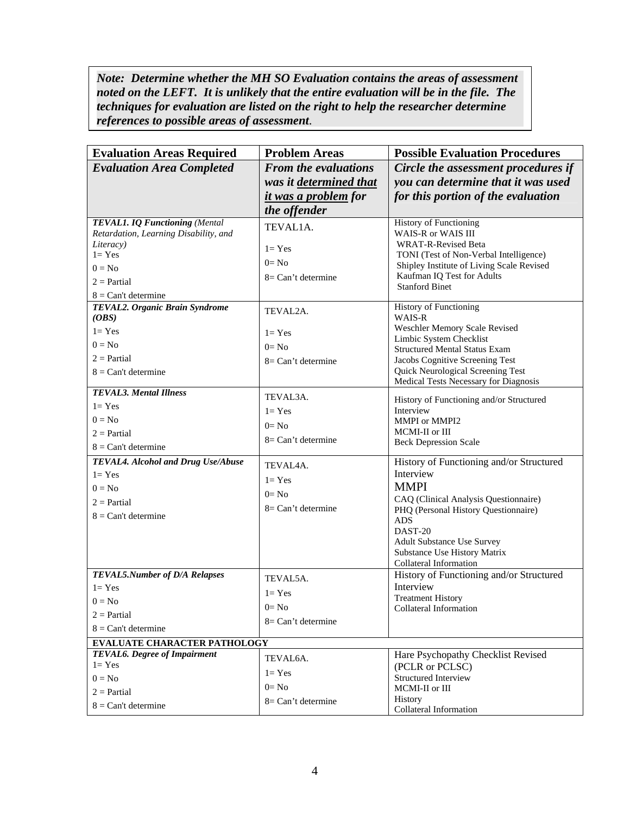Note: Determine whether the MH SO Evaluation contains the areas of assessment *noted on the LEFT. It is unlikely that the entire evaluation will be in the file. The techniques for evaluation are listed on the right to help the researcher determine references to possible areas of assessment*.

| <b>Evaluation Areas Required</b>                                                                                                                                                                          | <b>Problem Areas</b>                                                                                               | <b>Possible Evaluation Procedures</b>                                                                                                                                                                                                                                                                                                                                                                            |
|-----------------------------------------------------------------------------------------------------------------------------------------------------------------------------------------------------------|--------------------------------------------------------------------------------------------------------------------|------------------------------------------------------------------------------------------------------------------------------------------------------------------------------------------------------------------------------------------------------------------------------------------------------------------------------------------------------------------------------------------------------------------|
| <b>Evaluation Area Completed</b>                                                                                                                                                                          | <b>From the evaluations</b>                                                                                        | Circle the assessment procedures if                                                                                                                                                                                                                                                                                                                                                                              |
|                                                                                                                                                                                                           | was it determined that                                                                                             | you can determine that it was used                                                                                                                                                                                                                                                                                                                                                                               |
|                                                                                                                                                                                                           | <i>it was a problem for</i>                                                                                        | for this portion of the evaluation                                                                                                                                                                                                                                                                                                                                                                               |
|                                                                                                                                                                                                           | the offender                                                                                                       |                                                                                                                                                                                                                                                                                                                                                                                                                  |
| TEVAL1. IQ Functioning (Mental<br>Retardation, Learning Disability, and<br>Literacy)<br>$l = Yes$<br>$0 = No$                                                                                             | TEVAL1A.<br>$l = Yes$<br>$0=$ No                                                                                   | <b>History of Functioning</b><br>WAIS-R or WAIS III<br><b>WRAT-R-Revised Beta</b><br>TONI (Test of Non-Verbal Intelligence)<br>Shipley Institute of Living Scale Revised                                                                                                                                                                                                                                         |
| $2 = Partial$                                                                                                                                                                                             | $8=Can't determine$                                                                                                | Kaufman IQ Test for Adults<br><b>Stanford Binet</b>                                                                                                                                                                                                                                                                                                                                                              |
| $8 = Can't determine$                                                                                                                                                                                     |                                                                                                                    |                                                                                                                                                                                                                                                                                                                                                                                                                  |
| TEVAL2. Organic Brain Syndrome<br>(OBS)<br>$1 = Yes$                                                                                                                                                      | TEVAL2A.<br>$l = Yes$                                                                                              | <b>History of Functioning</b><br>WAIS-R<br>Weschler Memory Scale Revised<br>Limbic System Checklist                                                                                                                                                                                                                                                                                                              |
| $0 = No$                                                                                                                                                                                                  | $0=$ No                                                                                                            | <b>Structured Mental Status Exam</b>                                                                                                                                                                                                                                                                                                                                                                             |
| $2 =$ Partial                                                                                                                                                                                             | $8=Can't determine$                                                                                                | Jacobs Cognitive Screening Test                                                                                                                                                                                                                                                                                                                                                                                  |
| $8 = Can't determine$                                                                                                                                                                                     |                                                                                                                    | Quick Neurological Screening Test<br>Medical Tests Necessary for Diagnosis                                                                                                                                                                                                                                                                                                                                       |
| <b>TEVAL3. Mental Illness</b><br>$l = Yes$<br>$0 = No$<br>$2 =$ Partial<br>$8 = Can't determine$<br>TEVAL4. Alcohol and Drug Use/Abuse<br>$1 = Yes$<br>$0 = No$<br>$2 =$ Partial<br>$8 = Can't determine$ | TEVAL3A.<br>$l = Yes$<br>$0=$ No<br>$8=Can't determine$<br>TEVAL4A.<br>$l = Yes$<br>$0=$ No<br>$8=Can't determine$ | History of Functioning and/or Structured<br>Interview<br>MMPI or MMPI2<br>MCMI-II or III<br><b>Beck Depression Scale</b><br>History of Functioning and/or Structured<br>Interview<br><b>MMPI</b><br>CAQ (Clinical Analysis Questionnaire)<br>PHQ (Personal History Questionnaire)<br><b>ADS</b><br>DAST-20<br><b>Adult Substance Use Survey</b><br><b>Substance Use History Matrix</b><br>Collateral Information |
| TEVAL5.Number of D/A Relapses<br>$l = Yes$<br>$0 = No$<br>$2 =$ Partial<br>$8 = Can't determine$                                                                                                          | TEVAL5A.<br>$l = Yes$<br>$0=$ No<br>$8=Can't determine$                                                            | History of Functioning and/or Structured<br>Interview<br><b>Treatment History</b><br>Collateral Information                                                                                                                                                                                                                                                                                                      |
| <b>EVALUATE CHARACTER PATHOLOGY</b>                                                                                                                                                                       |                                                                                                                    |                                                                                                                                                                                                                                                                                                                                                                                                                  |
| <b>TEVAL6.</b> Degree of Impairment<br>$l = Yes$<br>$0 = No$<br>$2 = Partial$<br>$8 = Can't determine$                                                                                                    | TEVAL6A.<br>$l = Yes$<br>$0=$ No<br>$8=Can't determine$                                                            | Hare Psychopathy Checklist Revised<br>(PCLR or PCLSC)<br><b>Structured Interview</b><br>MCMI-II or III<br>History                                                                                                                                                                                                                                                                                                |
|                                                                                                                                                                                                           |                                                                                                                    | Collateral Information                                                                                                                                                                                                                                                                                                                                                                                           |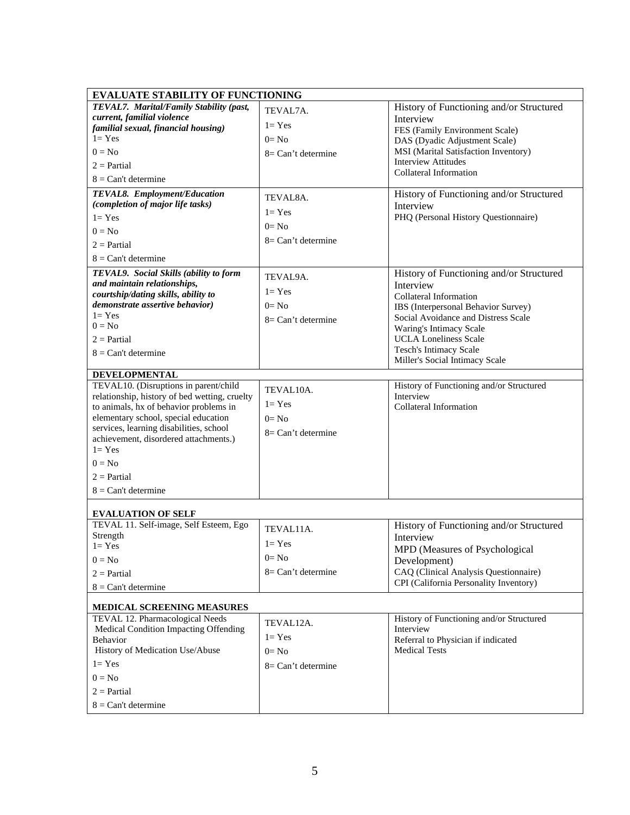| <b>EVALUATE STABILITY OF FUNCTIONING</b>               |                     |                                                          |  |  |
|--------------------------------------------------------|---------------------|----------------------------------------------------------|--|--|
| <b>TEVAL7.</b> Marital/Family Stability (past,         | TEVAL7A.            | History of Functioning and/or Structured                 |  |  |
| current, familial violence                             |                     | Interview                                                |  |  |
| familial sexual, financial housing)                    | $l = Yes$           | FES (Family Environment Scale)                           |  |  |
| $l = Yes$                                              | $0=$ No             | DAS (Dyadic Adjustment Scale)                            |  |  |
| $0 = No$                                               | $8=Can't determine$ | MSI (Marital Satisfaction Inventory)                     |  |  |
| $2 =$ Partial                                          |                     | <b>Interview Attitudes</b>                               |  |  |
| $8 = Can't determine$                                  |                     | Collateral Information                                   |  |  |
| TEVAL8. Employment/Education                           | TEVAL8A.            | History of Functioning and/or Structured                 |  |  |
| (completion of major life tasks)                       |                     | Interview                                                |  |  |
| $l = Yes$                                              | $l = Yes$           | PHQ (Personal History Questionnaire)                     |  |  |
| $0 = No$                                               | $0=$ No             |                                                          |  |  |
| $2 =$ Partial                                          | $8=Can't$ determine |                                                          |  |  |
|                                                        |                     |                                                          |  |  |
| $8 = Can't determine$                                  |                     |                                                          |  |  |
| TEVAL9. Social Skills (ability to form                 | TEVAL9A.            | History of Functioning and/or Structured                 |  |  |
| and maintain relationships,                            | $l = Yes$           | Interview                                                |  |  |
| courtship/dating skills, ability to                    |                     | Collateral Information                                   |  |  |
| demonstrate assertive behavior)<br>$1 = Yes$           | $0=$ No             | IBS (Interpersonal Behavior Survey)                      |  |  |
| $0 = No$                                               | $8=Can't$ determine | Social Avoidance and Distress Scale                      |  |  |
|                                                        |                     | Waring's Intimacy Scale                                  |  |  |
| $2 =$ Partial                                          |                     | <b>UCLA Loneliness Scale</b>                             |  |  |
| $8 = Can't determine$                                  |                     | Tesch's Intimacy Scale<br>Miller's Social Intimacy Scale |  |  |
|                                                        |                     |                                                          |  |  |
| DEVELOPMENTAL<br>TEVAL10. (Disruptions in parent/child |                     | History of Functioning and/or Structured                 |  |  |
| relationship, history of bed wetting, cruelty          | TEVAL10A.           | Interview                                                |  |  |
| to animals, hx of behavior problems in                 | $l = Yes$           | Collateral Information                                   |  |  |
| elementary school, special education                   | $0=$ No             |                                                          |  |  |
| services, learning disabilities, school                |                     |                                                          |  |  |
| achievement, disordered attachments.)                  | $8=Can't$ determine |                                                          |  |  |
| $1 = Yes$                                              |                     |                                                          |  |  |
| $0 = No$                                               |                     |                                                          |  |  |
| $2 =$ Partial                                          |                     |                                                          |  |  |
|                                                        |                     |                                                          |  |  |
| $8 = Can't determine$                                  |                     |                                                          |  |  |
| <b>EVALUATION OF SELF</b>                              |                     |                                                          |  |  |
| TEVAL 11. Self-image, Self Esteem, Ego                 |                     | History of Functioning and/or Structured                 |  |  |
| Strength                                               | TEVAL11A.           | Interview                                                |  |  |
| $1 = Yes$                                              | $l = Yes$           | MPD (Measures of Psychological                           |  |  |
| $0 = No$                                               | $0=$ No             | Development)                                             |  |  |
| $2 =$ Partial                                          | $8=Can't determine$ | CAQ (Clinical Analysis Questionnaire)                    |  |  |
| $8 = Can't determine$                                  |                     | CPI (California Personality Inventory)                   |  |  |
|                                                        |                     |                                                          |  |  |
| MEDICAL SCREENING MEASURES                             |                     |                                                          |  |  |
| TEVAL 12. Pharmacological Needs                        | TEVAL12A.           | History of Functioning and/or Structured                 |  |  |
| Medical Condition Impacting Offending                  |                     | Interview                                                |  |  |
| <b>Behavior</b>                                        | $l = Yes$           | Referral to Physician if indicated                       |  |  |
| History of Medication Use/Abuse                        | $0=$ No             | <b>Medical Tests</b>                                     |  |  |
| $1 = Yes$                                              | $8=Can't determine$ |                                                          |  |  |
| $0 = No$                                               |                     |                                                          |  |  |
| $2 =$ Partial                                          |                     |                                                          |  |  |
| $8 = Can't determine$                                  |                     |                                                          |  |  |
|                                                        |                     |                                                          |  |  |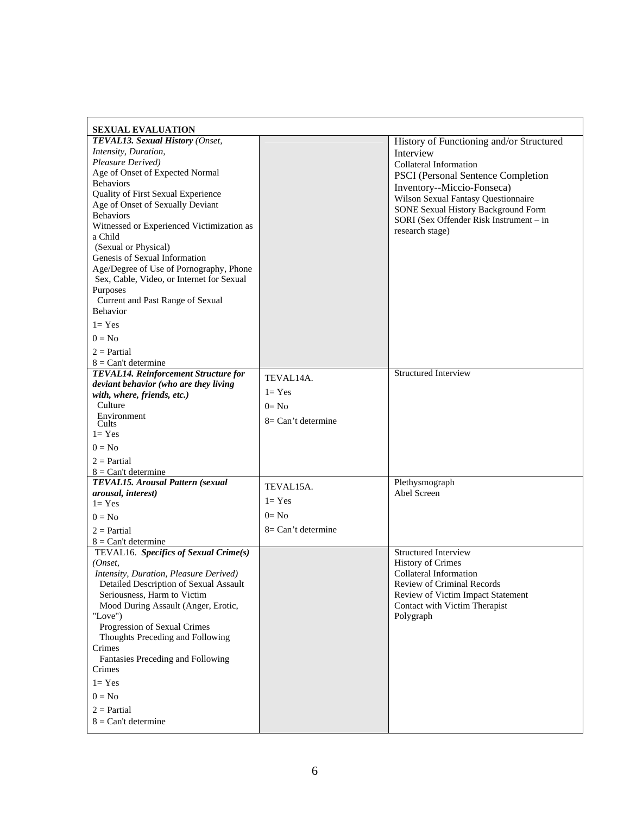| <b>SEXUAL EVALUATION</b>                              |                     |                                            |
|-------------------------------------------------------|---------------------|--------------------------------------------|
| TEVAL13. Sexual History (Onset,                       |                     | History of Functioning and/or Structured   |
| Intensity, Duration,                                  |                     | Interview                                  |
| Pleasure Derived)                                     |                     | Collateral Information                     |
| Age of Onset of Expected Normal                       |                     | PSCI (Personal Sentence Completion         |
| <b>Behaviors</b>                                      |                     | Inventory--Miccio-Fonseca)                 |
| Quality of First Sexual Experience                    |                     | Wilson Sexual Fantasy Questionnaire        |
| Age of Onset of Sexually Deviant                      |                     | <b>SONE Sexual History Background Form</b> |
| <b>Behaviors</b>                                      |                     | SORI (Sex Offender Risk Instrument - in    |
| Witnessed or Experienced Victimization as             |                     | research stage)                            |
| a Child                                               |                     |                                            |
| (Sexual or Physical)                                  |                     |                                            |
| Genesis of Sexual Information                         |                     |                                            |
| Age/Degree of Use of Pornography, Phone               |                     |                                            |
| Sex, Cable, Video, or Internet for Sexual<br>Purposes |                     |                                            |
| Current and Past Range of Sexual                      |                     |                                            |
| <b>Behavior</b>                                       |                     |                                            |
|                                                       |                     |                                            |
| $1 = Yes$                                             |                     |                                            |
| $0 = No$                                              |                     |                                            |
| $2 = Partial$                                         |                     |                                            |
| $8 = Can't determine$                                 |                     |                                            |
| TEVAL14. Reinforcement Structure for                  | TEVAL14A.           | <b>Structured Interview</b>                |
| deviant behavior (who are they living                 | $l = Yes$           |                                            |
| with, where, friends, etc.)<br>Culture                | $0=$ No             |                                            |
| Environment                                           |                     |                                            |
| Cults                                                 | 8= Can't determine  |                                            |
| $1 = Yes$                                             |                     |                                            |
| $0 = No$                                              |                     |                                            |
| $2 =$ Partial                                         |                     |                                            |
| $8 = Can't determine$                                 |                     |                                            |
| TEVAL15. Arousal Pattern (sexual                      | TEVAL15A.           | Plethysmograph                             |
| arousal, interest)                                    |                     | Abel Screen                                |
| $l = Yes$                                             | $l = Yes$           |                                            |
| $0 = No$                                              | $0=$ No             |                                            |
| $2 =$ Partial                                         | $8=Can't determine$ |                                            |
| $8 = Can't determine$                                 |                     |                                            |
| TEVAL16. Specifics of Sexual Crime(s)                 |                     | <b>Structured Interview</b>                |
| (Onset,                                               |                     | <b>History of Crimes</b>                   |
| <i>Intensity, Duration, Pleasure Derived)</i>         |                     | Collateral Information                     |
| Detailed Description of Sexual Assault                |                     | Review of Criminal Records                 |
| Seriousness, Harm to Victim                           |                     | Review of Victim Impact Statement          |
| Mood During Assault (Anger, Erotic,                   |                     | Contact with Victim Therapist              |
| "Love")                                               |                     | Polygraph                                  |
| Progression of Sexual Crimes                          |                     |                                            |
| Thoughts Preceding and Following<br>Crimes            |                     |                                            |
| Fantasies Preceding and Following                     |                     |                                            |
| Crimes                                                |                     |                                            |
| $l = Yes$                                             |                     |                                            |
|                                                       |                     |                                            |
| $0 = No$                                              |                     |                                            |
| $2 = Partial$                                         |                     |                                            |
| $8 = Can't determine$                                 |                     |                                            |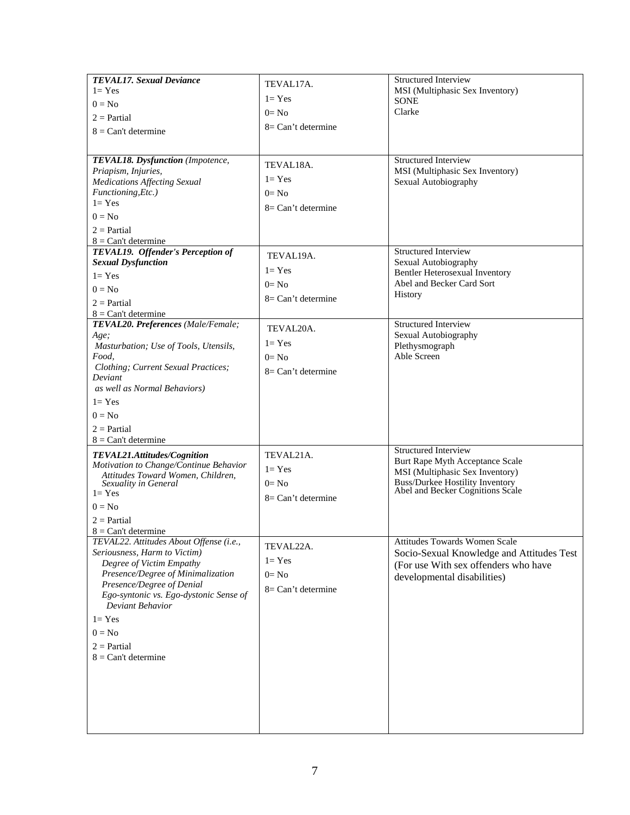| <b>TEVAL17.</b> Sexual Deviance<br>$1 = Yes$<br>$0 = No$<br>$2 =$ Partial<br>$8 = Can't determine$<br>TEVAL18. Dysfunction (Impotence,<br>Priapism, Injuries,<br><b>Medications Affecting Sexual</b><br>Functioning, Etc.)<br>$l = Yes$<br>$0 = No$                                                    | TEVAL17A.<br>$l = Yes$<br>$0=$ No<br>$8=Can't determine$<br>TEVAL18A.<br>$l = Yes$<br>$0=$ No<br>$8=Can't determine$ | <b>Structured Interview</b><br>MSI (Multiphasic Sex Inventory)<br><b>SONE</b><br>Clarke<br><b>Structured Interview</b><br>MSI (Multiphasic Sex Inventory)<br>Sexual Autobiography |
|--------------------------------------------------------------------------------------------------------------------------------------------------------------------------------------------------------------------------------------------------------------------------------------------------------|----------------------------------------------------------------------------------------------------------------------|-----------------------------------------------------------------------------------------------------------------------------------------------------------------------------------|
| $2 =$ Partial<br>$8 = Can't determine$<br>TEVAL19. Offender's Perception of<br><b>Sexual Dysfunction</b><br>$1 = Yes$<br>$0 = No$<br>$2 =$ Partial<br>$8 = Can't determine$                                                                                                                            | TEVAL19A.<br>$l = Yes$<br>$0=$ No<br>$8=Can't determine$                                                             | <b>Structured Interview</b><br>Sexual Autobiography<br>Bentler Heterosexual Inventory<br>Abel and Becker Card Sort<br>History                                                     |
| TEVAL20. Preferences (Male/Female;<br>Age;<br>Masturbation; Use of Tools, Utensils,<br>Food,<br>Clothing; Current Sexual Practices;<br>Deviant<br>as well as Normal Behaviors)<br>$1 = Yes$<br>$0 = No$<br>$2 =$ Partial<br>$8 = Can't determine$                                                      | TEVAL20A.<br>$l = Yes$<br>$0=$ No<br>$8=Can't determine$                                                             | <b>Structured Interview</b><br>Sexual Autobiography<br>Plethysmograph<br>Able Screen                                                                                              |
| TEVAL21.Attitudes/Cognition<br>Motivation to Change/Continue Behavior<br>Attitudes Toward Women, Children,<br>Sexuality in General<br>$l = Yes$<br>$0 = No$<br>$2 =$ Partial<br>$8 = Can't determine$                                                                                                  | TEVAL21A.<br>$l = Yes$<br>$0=$ No<br>$8=Can't determine$                                                             | <b>Structured Interview</b><br>Burt Rape Myth Acceptance Scale<br>MSI (Multiphasic Sex Inventory)<br>Buss/Durkee Hostility Inventory<br>Abel and Becker Cognitions Scale          |
| TEVAL22. Attitudes About Offense (i.e.,<br>Seriousness, Harm to Victim)<br>Degree of Victim Empathy<br>Presence/Degree of Minimalization<br>Presence/Degree of Denial<br>Ego-syntonic vs. Ego-dystonic Sense of<br>Deviant Behavior<br>$1 = Yes$<br>$0 = No$<br>$2 =$ Partial<br>$8 = Can't determine$ | TEVAL22A.<br>$l = Yes$<br>$0=$ No<br>$8=Can't determine$                                                             | Attitudes Towards Women Scale<br>Socio-Sexual Knowledge and Attitudes Test<br>(For use With sex offenders who have<br>developmental disabilities)                                 |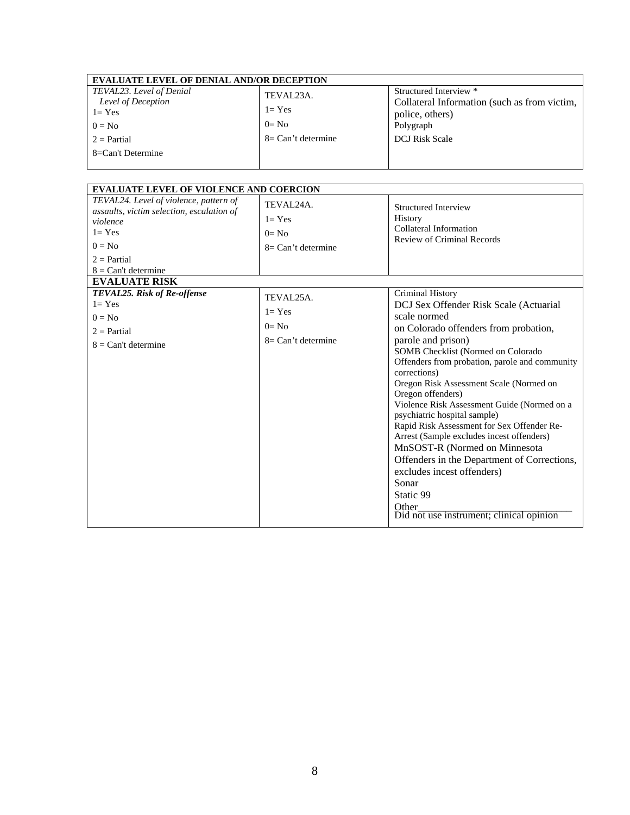| <b>EVALUATE LEVEL OF DENIAL AND/OR DECEPTION</b> |                       |                                              |  |  |
|--------------------------------------------------|-----------------------|----------------------------------------------|--|--|
| TEVAL23. Level of Denial                         | TEVAL23A.             | Structured Interview *                       |  |  |
| Level of Deception                               |                       | Collateral Information (such as from victim, |  |  |
| $l = Yes$                                        | $l = Yes$             | police, others)                              |  |  |
| $0 = No$                                         | $0=$ No               | Polygraph                                    |  |  |
| $2 =$ Partial                                    | $8 = Can't determine$ | <b>DCJ</b> Risk Scale                        |  |  |
| 8=Can't Determine                                |                       |                                              |  |  |
|                                                  |                       |                                              |  |  |

| <b>EVALUATE LEVEL OF VIOLENCE AND COERCION</b>                                                                                                                     |                                                                       |                                                                                                                                                                                                                                                                                                                                                                                                                                                                                                                                                                                                                                                                                      |  |  |
|--------------------------------------------------------------------------------------------------------------------------------------------------------------------|-----------------------------------------------------------------------|--------------------------------------------------------------------------------------------------------------------------------------------------------------------------------------------------------------------------------------------------------------------------------------------------------------------------------------------------------------------------------------------------------------------------------------------------------------------------------------------------------------------------------------------------------------------------------------------------------------------------------------------------------------------------------------|--|--|
| TEVAL24. Level of violence, pattern of<br>assaults, victim selection, escalation of<br>violence<br>$1 = Yes$<br>$0 = No$<br>$2 = Partial$<br>$8 = Can't determine$ | TEVAL <sub>24</sub> A.<br>$1 = Yes$<br>$0=$ No<br>$8=Can't determine$ | <b>Structured Interview</b><br>History<br>Collateral Information<br><b>Review of Criminal Records</b>                                                                                                                                                                                                                                                                                                                                                                                                                                                                                                                                                                                |  |  |
| <b>EVALUATE RISK</b>                                                                                                                                               |                                                                       |                                                                                                                                                                                                                                                                                                                                                                                                                                                                                                                                                                                                                                                                                      |  |  |
| TEVAL25. Risk of Re-offense<br>$1 = Yes$<br>$0 = No$<br>$2 = Partial$<br>$8 = Can't determine$                                                                     | TEVAL25A.<br>$l = Yes$<br>$0=$ No<br>$8=Can't determine$              | Criminal History<br>DCJ Sex Offender Risk Scale (Actuarial<br>scale normed<br>on Colorado offenders from probation,<br>parole and prison)<br>SOMB Checklist (Normed on Colorado<br>Offenders from probation, parole and community<br>corrections)<br>Oregon Risk Assessment Scale (Normed on<br>Oregon offenders)<br>Violence Risk Assessment Guide (Normed on a<br>psychiatric hospital sample)<br>Rapid Risk Assessment for Sex Offender Re-<br>Arrest (Sample excludes incest offenders)<br>MnSOST-R (Normed on Minnesota<br>Offenders in the Department of Corrections,<br>excludes incest offenders)<br>Sonar<br>Static 99<br>Other<br>Did not use instrument; clinical opinion |  |  |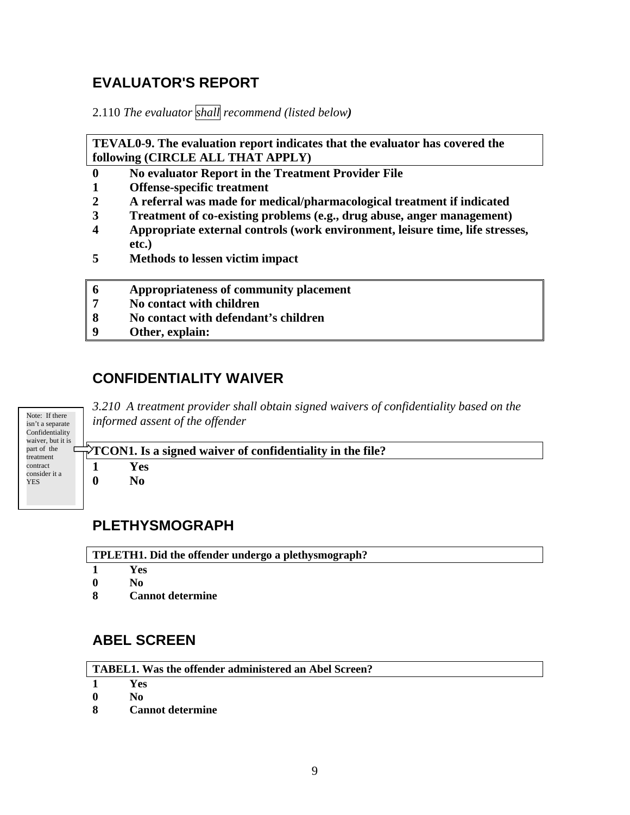# **EVALUATOR'S REPORT**

2.110 *The evaluator shall recommend (listed below)* 

**TEVAL0-9. The evaluation report indicates that the evaluator has covered the following (CIRCLE ALL THAT APPLY)** 

- **0 No evaluator Report in the Treatment Provider File**
- **1 Offense-specific treatment**
- **2 A referral was made for medical/pharmacological treatment if indicated**
- **3 Treatment of co-existing problems (e.g., drug abuse, anger management)**
- **4 Appropriate external controls (work environment, leisure time, life stresses, etc.)**
- **5 Methods to lessen victim impact**
- **6 Appropriateness of community placement**
- **7 No contact with children**
- **8 No contact with defendant's children**
- **9 Other, explain:**

### **CONFIDENTIALITY WAIVER**

Note: If there isn't a separate **Confidentiality** waiver, but it is part of the <u>.</u><br>treatment contract consider it a YES

*3.210 A treatment provider shall obtain signed waivers of confidentiality based on the informed assent of the offender*

**TCON1. Is a signed waiver of confidentiality in the file? 1 Yes 0 No** 

### **PLETHYSMOGRAPH**

**TPLETH1. Did the offender undergo a plethysmograph?** 

- **1 Yes**
- **0 No**
- **8 Cannot determine**

# **ABEL SCREEN**

**TABEL1. Was the offender administered an Abel Screen?** 

**1 Yes** 

- **0 No**
- **8 Cannot determine**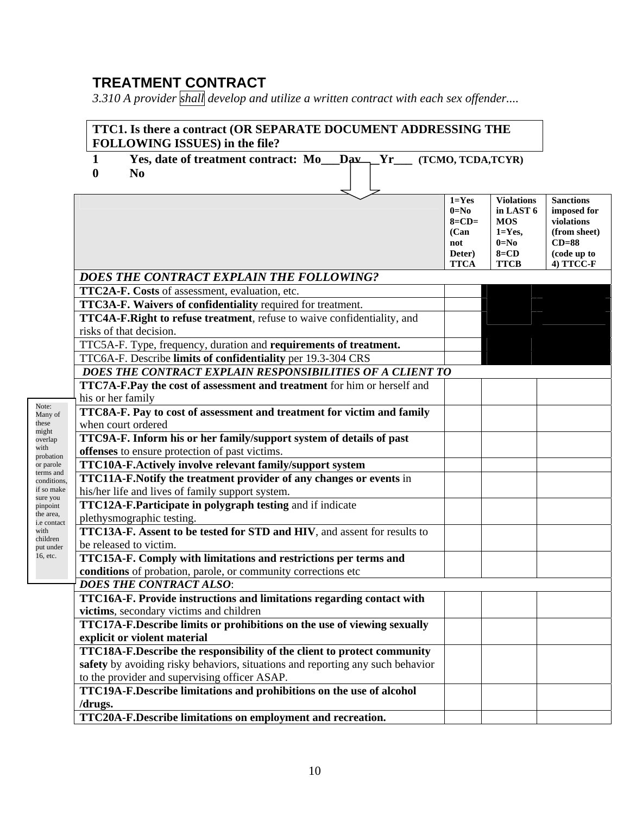# **TREATMENT CONTRACT**

*3.310 A provider shall develop and utilize a written contract with each sex offender....*

| 1                 | Yes, date of treatment contract: Mo Day Yr                                                                            | (TCMO, TCDA, TCYR)                                                      |                                                                                                  |                                                                                                      |
|-------------------|-----------------------------------------------------------------------------------------------------------------------|-------------------------------------------------------------------------|--------------------------------------------------------------------------------------------------|------------------------------------------------------------------------------------------------------|
| $\bf{0}$          | N <sub>0</sub>                                                                                                        |                                                                         |                                                                                                  |                                                                                                      |
|                   |                                                                                                                       | $1 = Yes$<br>$0=No$<br>$8=CD=$<br>(Can)<br>not<br>Deter)<br><b>TTCA</b> | <b>Violations</b><br>in LAST 6<br><b>MOS</b><br>$1 = Yes,$<br>$0=N_0$<br>$8 = CD$<br><b>TTCB</b> | <b>Sanctions</b><br>imposed for<br>violations<br>(from sheet)<br>$CD=88$<br>(code up to<br>4) TTCC-F |
|                   | DOES THE CONTRACT EXPLAIN THE FOLLOWING?                                                                              |                                                                         |                                                                                                  |                                                                                                      |
|                   | TTC2A-F. Costs of assessment, evaluation, etc.                                                                        |                                                                         |                                                                                                  |                                                                                                      |
|                   | TTC3A-F. Waivers of confidentiality required for treatment.                                                           |                                                                         |                                                                                                  |                                                                                                      |
|                   | TTC4A-F.Right to refuse treatment, refuse to waive confidentiality, and                                               |                                                                         |                                                                                                  |                                                                                                      |
|                   | risks of that decision.                                                                                               |                                                                         |                                                                                                  |                                                                                                      |
|                   | TTC5A-F. Type, frequency, duration and requirements of treatment.                                                     |                                                                         |                                                                                                  |                                                                                                      |
|                   | TTC6A-F. Describe limits of confidentiality per 19.3-304 CRS                                                          |                                                                         |                                                                                                  |                                                                                                      |
|                   | DOES THE CONTRACT EXPLAIN RESPONSIBILITIES OF A CLIENT TO                                                             |                                                                         |                                                                                                  |                                                                                                      |
|                   | TTC7A-F.Pay the cost of assessment and treatment for him or herself and                                               |                                                                         |                                                                                                  |                                                                                                      |
| his or her family |                                                                                                                       |                                                                         |                                                                                                  |                                                                                                      |
|                   | TTC8A-F. Pay to cost of assessment and treatment for victim and family                                                |                                                                         |                                                                                                  |                                                                                                      |
|                   | when court ordered                                                                                                    |                                                                         |                                                                                                  |                                                                                                      |
|                   | TTC9A-F. Inform his or her family/support system of details of past<br>offenses to ensure protection of past victims. |                                                                         |                                                                                                  |                                                                                                      |
|                   | TTC10A-F.Actively involve relevant family/support system                                                              |                                                                         |                                                                                                  |                                                                                                      |
|                   | TTC11A-F.Notify the treatment provider of any changes or events in                                                    |                                                                         |                                                                                                  |                                                                                                      |
| conditions,       | his/her life and lives of family support system.                                                                      |                                                                         |                                                                                                  |                                                                                                      |
|                   | TTC12A-F.Participate in polygraph testing and if indicate                                                             |                                                                         |                                                                                                  |                                                                                                      |
|                   | plethysmographic testing.                                                                                             |                                                                         |                                                                                                  |                                                                                                      |
|                   | TTC13A-F. Assent to be tested for STD and HIV, and assent for results to                                              |                                                                         |                                                                                                  |                                                                                                      |
|                   | be released to victim.                                                                                                |                                                                         |                                                                                                  |                                                                                                      |
|                   | TTC15A-F. Comply with limitations and restrictions per terms and                                                      |                                                                         |                                                                                                  |                                                                                                      |
|                   | conditions of probation, parole, or community corrections etc.                                                        |                                                                         |                                                                                                  |                                                                                                      |
|                   | <b>DOES THE CONTRACT ALSO:</b>                                                                                        |                                                                         |                                                                                                  |                                                                                                      |
|                   | TTC16A-F. Provide instructions and limitations regarding contact with                                                 |                                                                         |                                                                                                  |                                                                                                      |
|                   | victims, secondary victims and children                                                                               |                                                                         |                                                                                                  |                                                                                                      |
|                   | TTC17A-F.Describe limits or prohibitions on the use of viewing sexually                                               |                                                                         |                                                                                                  |                                                                                                      |
|                   | explicit or violent material                                                                                          |                                                                         |                                                                                                  |                                                                                                      |
|                   | TTC18A-F.Describe the responsibility of the client to protect community                                               |                                                                         |                                                                                                  |                                                                                                      |
|                   | safety by avoiding risky behaviors, situations and reporting any such behavior                                        |                                                                         |                                                                                                  |                                                                                                      |
|                   | to the provider and supervising officer ASAP.                                                                         |                                                                         |                                                                                                  |                                                                                                      |
|                   | TTC19A-F.Describe limitations and prohibitions on the use of alcohol                                                  |                                                                         |                                                                                                  |                                                                                                      |
| /drugs.           | TTC20A-F.Describe limitations on employment and recreation.                                                           |                                                                         |                                                                                                  |                                                                                                      |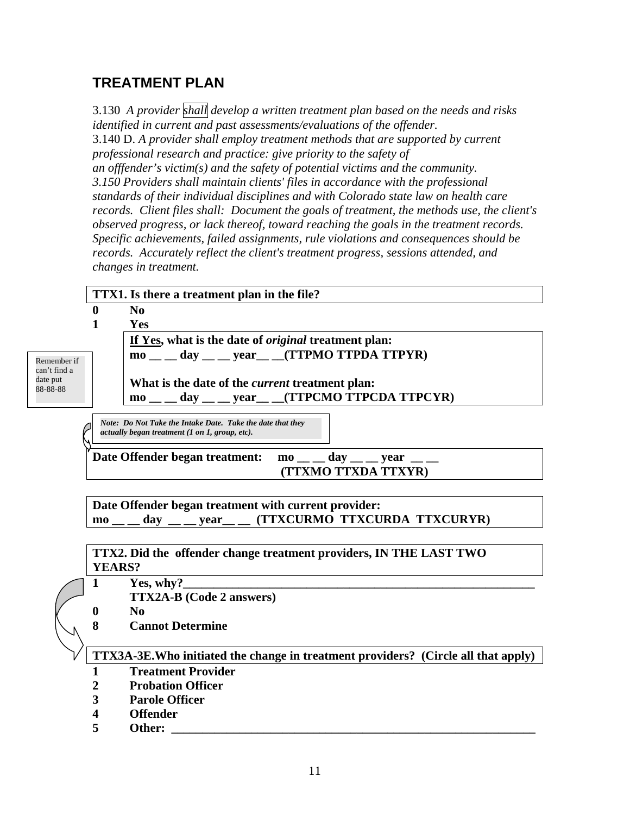# **TREATMENT PLAN**

3.130 *A provider shall develop a written treatment plan based on the needs and risks identified in current and past assessments/evaluations of the offender.*  3.140 D. *A provider shall employ treatment methods that are supported by current professional research and practice: give priority to the safety of an offfender's victim(s) and the safety of potential victims and the community. 3.150 Providers shall maintain clients' files in accordance with the professional standards of their individual disciplines and with Colorado state law on health care records. Client files shall: Document the goals of treatment, the methods use, the client's observed progress, or lack thereof, toward reaching the goals in the treatment records. Specific achievements, failed assignments, rule violations and consequences should be records. Accurately reflect the client's treatment progress, sessions attended, and changes in treatment.* 

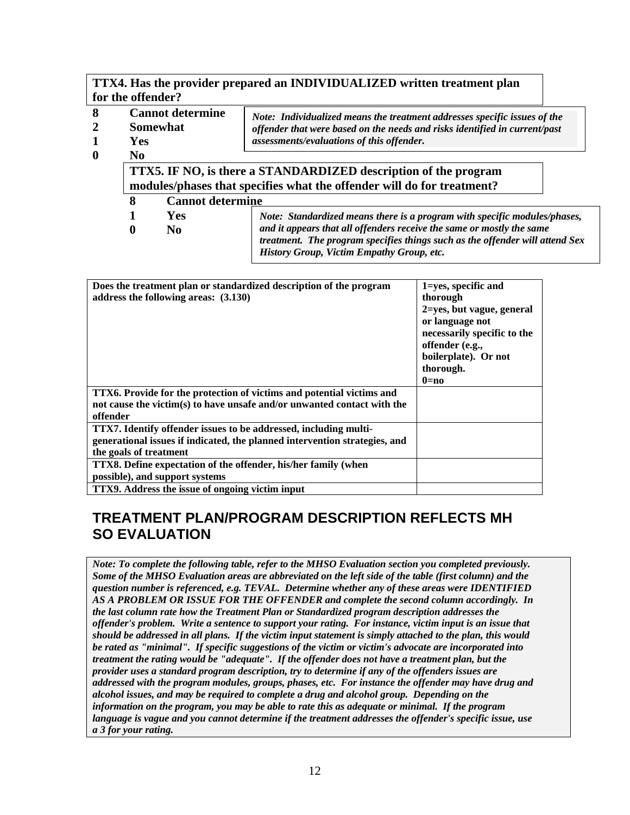#### **TTX4. Has the provider prepared an INDIVIDUALIZED written treatment plan for the offender?**

| 8<br>$\overline{2}$ | <b>Yes</b>                                                                                                                                | <b>Cannot determine</b><br>Note: Individualized means the treatment addresses specific issues of the<br>Somewhat<br>offender that were based on the needs and risks identified in current/past<br>assessments/evaluations of this offender. |                                                                           |  |  |  |  |
|---------------------|-------------------------------------------------------------------------------------------------------------------------------------------|---------------------------------------------------------------------------------------------------------------------------------------------------------------------------------------------------------------------------------------------|---------------------------------------------------------------------------|--|--|--|--|
| $\bf{0}$            | N <sub>0</sub>                                                                                                                            |                                                                                                                                                                                                                                             |                                                                           |  |  |  |  |
|                     | TTX5. IF NO, is there a STANDARDIZED description of the program<br>modules/phases that specifies what the offender will do for treatment? |                                                                                                                                                                                                                                             |                                                                           |  |  |  |  |
|                     | 8                                                                                                                                         | <b>Cannot determine</b>                                                                                                                                                                                                                     |                                                                           |  |  |  |  |
|                     |                                                                                                                                           | <b>Yes</b>                                                                                                                                                                                                                                  | Note: Standardized means there is a program with specific modules/phases, |  |  |  |  |
|                     | $\bf{0}$                                                                                                                                  | and it appears that all offenders receive the same or mostly the same<br>N <sub>0</sub><br>treatment. The program specifies things such as the offender will attend Sex                                                                     |                                                                           |  |  |  |  |

*History Group, Victim Empathy Group, etc.*

| Does the treatment plan or standardized description of the program<br>address the following areas: (3.130)                                                               | 1=yes, specific and<br>thorough<br>2=yes, but vague, general<br>or language not<br>necessarily specific to the<br>offender (e.g.,<br>boilerplate). Or not |
|--------------------------------------------------------------------------------------------------------------------------------------------------------------------------|-----------------------------------------------------------------------------------------------------------------------------------------------------------|
|                                                                                                                                                                          | thorough.<br>$0=no$                                                                                                                                       |
| <b>TTX6.</b> Provide for the protection of victims and potential victims and<br>not cause the victim(s) to have unsafe and/or unwanted contact with the<br>offender      |                                                                                                                                                           |
| TTX7. Identify offender issues to be addressed, including multi-<br>generational issues if indicated, the planned intervention strategies, and<br>the goals of treatment |                                                                                                                                                           |
| <b>TTX8.</b> Define expectation of the offender, his/her family (when<br>possible), and support systems                                                                  |                                                                                                                                                           |
| TTX9. Address the issue of ongoing victim input                                                                                                                          |                                                                                                                                                           |

### **TREATMENT PLAN/PROGRAM DESCRIPTION REFLECTS MH SO EVALUATION**

*Note: To complete the following table, refer to the MHSO Evaluation section you completed previously. Some of the MHSO Evaluation areas are abbreviated on the left side of the table (first column) and the question number is referenced, e.g. TEVAL. Determine whether any of these areas were IDENTIFIED AS A PROBLEM OR ISSUE FOR THE OFFENDER and complete the second column accordingly. In the last column rate how the Treatment Plan or Standardized program description addresses the offender's problem. Write a sentence to support your rating. For instance, victim input is an issue that should be addressed in all plans. If the victim input statement is simply attached to the plan, this would be rated as "minimal". If specific suggestions of the victim or victim's advocate are incorporated into treatment the rating would be "adequate". If the offender does not have a treatment plan, but the provider uses a standard program description, try to determine if any of the offenders issues are addressed with the program modules, groups, phases, etc. For instance the offender may have drug and alcohol issues, and may be required to complete a drug and alcohol group. Depending on the information on the program, you may be able to rate this as adequate or minimal. If the program language is vague and you cannot determine if the treatment addresses the offender's specific issue, use a 3 for your rating.*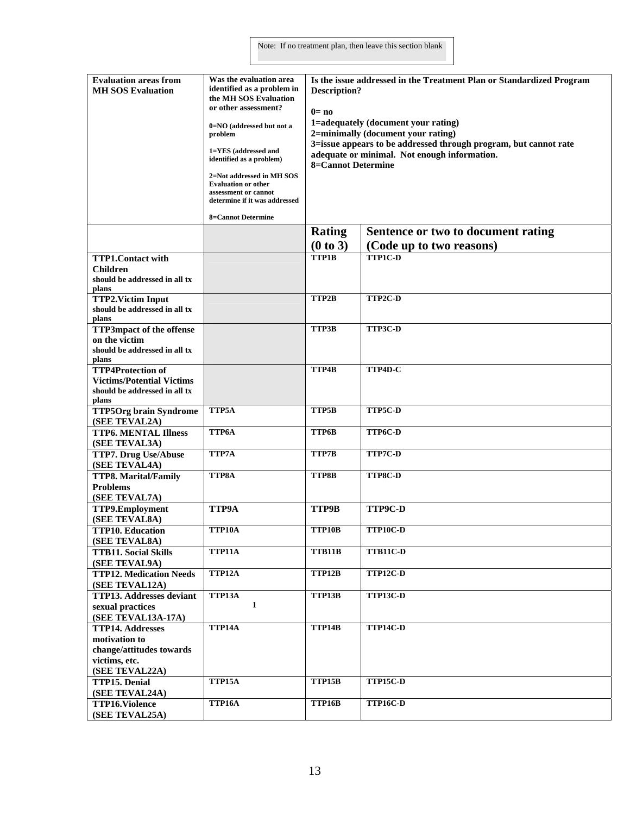| <b>Evaluation areas from</b><br><b>MH SOS Evaluation</b> | Was the evaluation area<br>identified as a problem in<br>the MH SOS Evaluation<br>or other assessment?<br>0=NO (addressed but not a<br>problem<br>1=YES (addressed and<br>identified as a problem)<br>2=Not addressed in MH SOS<br><b>Evaluation or other</b><br>assessment or cannot<br>determine if it was addressed<br><b>8=Cannot Determine</b> | Is the issue addressed in the Treatment Plan or Standardized Program<br>Description?<br>$0 = no$<br>1=adequately (document your rating)<br>2=minimally (document your rating)<br>3=issue appears to be addressed through program, but cannot rate<br>adequate or minimal. Not enough information.<br><b>8=Cannot Determine</b> |                                    |  |
|----------------------------------------------------------|-----------------------------------------------------------------------------------------------------------------------------------------------------------------------------------------------------------------------------------------------------------------------------------------------------------------------------------------------------|--------------------------------------------------------------------------------------------------------------------------------------------------------------------------------------------------------------------------------------------------------------------------------------------------------------------------------|------------------------------------|--|
|                                                          |                                                                                                                                                                                                                                                                                                                                                     | Rating                                                                                                                                                                                                                                                                                                                         | Sentence or two to document rating |  |
|                                                          |                                                                                                                                                                                                                                                                                                                                                     | (0 to 3)                                                                                                                                                                                                                                                                                                                       | (Code up to two reasons)           |  |
| <b>TTP1.Contact with</b>                                 |                                                                                                                                                                                                                                                                                                                                                     | TTP1B                                                                                                                                                                                                                                                                                                                          | <b>TTP1C-D</b>                     |  |
| <b>Children</b>                                          |                                                                                                                                                                                                                                                                                                                                                     |                                                                                                                                                                                                                                                                                                                                |                                    |  |
| should be addressed in all tx<br>plans                   |                                                                                                                                                                                                                                                                                                                                                     |                                                                                                                                                                                                                                                                                                                                |                                    |  |
| <b>TTP2.Victim Input</b>                                 |                                                                                                                                                                                                                                                                                                                                                     | TTP2B                                                                                                                                                                                                                                                                                                                          | TTP2C-D                            |  |
| should be addressed in all tx                            |                                                                                                                                                                                                                                                                                                                                                     |                                                                                                                                                                                                                                                                                                                                |                                    |  |
| plans                                                    |                                                                                                                                                                                                                                                                                                                                                     |                                                                                                                                                                                                                                                                                                                                |                                    |  |
| <b>TTP3mpact of the offense</b>                          |                                                                                                                                                                                                                                                                                                                                                     | TTP3B                                                                                                                                                                                                                                                                                                                          | TTP3C-D                            |  |
| on the victim                                            |                                                                                                                                                                                                                                                                                                                                                     |                                                                                                                                                                                                                                                                                                                                |                                    |  |
| should be addressed in all tx                            |                                                                                                                                                                                                                                                                                                                                                     |                                                                                                                                                                                                                                                                                                                                |                                    |  |
| plans<br><b>TTP4Protection of</b>                        |                                                                                                                                                                                                                                                                                                                                                     | TTP4B                                                                                                                                                                                                                                                                                                                          | TTP4D-C                            |  |
| <b>Victims/Potential Victims</b>                         |                                                                                                                                                                                                                                                                                                                                                     |                                                                                                                                                                                                                                                                                                                                |                                    |  |
| should be addressed in all tx                            |                                                                                                                                                                                                                                                                                                                                                     |                                                                                                                                                                                                                                                                                                                                |                                    |  |
| plans                                                    |                                                                                                                                                                                                                                                                                                                                                     |                                                                                                                                                                                                                                                                                                                                |                                    |  |
| <b>TTP5Org brain Syndrome</b>                            | TTP5A                                                                                                                                                                                                                                                                                                                                               | TTP5B                                                                                                                                                                                                                                                                                                                          | TTP5C-D                            |  |
| (SEE TEVAL2A)                                            |                                                                                                                                                                                                                                                                                                                                                     |                                                                                                                                                                                                                                                                                                                                |                                    |  |
| <b>TTP6. MENTAL Illness</b>                              | TTP6A                                                                                                                                                                                                                                                                                                                                               | TTP6B                                                                                                                                                                                                                                                                                                                          | TTP6C-D                            |  |
| (SEE TEVAL3A)                                            |                                                                                                                                                                                                                                                                                                                                                     |                                                                                                                                                                                                                                                                                                                                |                                    |  |
| <b>TTP7. Drug Use/Abuse</b>                              | TTP7A                                                                                                                                                                                                                                                                                                                                               | TTP7B                                                                                                                                                                                                                                                                                                                          | TTP7C-D                            |  |
| (SEE TEVAL4A)                                            | <b>TTP8A</b>                                                                                                                                                                                                                                                                                                                                        |                                                                                                                                                                                                                                                                                                                                |                                    |  |
| <b>TTP8. Marital/Family</b><br><b>Problems</b>           |                                                                                                                                                                                                                                                                                                                                                     | TTP8B                                                                                                                                                                                                                                                                                                                          | TTP8C-D                            |  |
| (SEE TEVAL7A)                                            |                                                                                                                                                                                                                                                                                                                                                     |                                                                                                                                                                                                                                                                                                                                |                                    |  |
| TTP9.Employment                                          | <b>TTP9A</b>                                                                                                                                                                                                                                                                                                                                        | TTP9B                                                                                                                                                                                                                                                                                                                          | <b>TTP9C-D</b>                     |  |
| (SEE TEVAL8A)                                            |                                                                                                                                                                                                                                                                                                                                                     |                                                                                                                                                                                                                                                                                                                                |                                    |  |
| <b>TTP10. Education</b>                                  | TTP10A                                                                                                                                                                                                                                                                                                                                              | TTP10B                                                                                                                                                                                                                                                                                                                         | TTP10C-D                           |  |
| (SEE TEVAL8A)                                            |                                                                                                                                                                                                                                                                                                                                                     |                                                                                                                                                                                                                                                                                                                                |                                    |  |
| <b>TTB11. Social Skills</b>                              | TTP11A                                                                                                                                                                                                                                                                                                                                              | TTB11B                                                                                                                                                                                                                                                                                                                         | TTB11C-D                           |  |
| (SEE TEVAL9A)                                            |                                                                                                                                                                                                                                                                                                                                                     |                                                                                                                                                                                                                                                                                                                                |                                    |  |
| <b>TTP12. Medication Needs</b>                           | TTP12A                                                                                                                                                                                                                                                                                                                                              | TTP12B                                                                                                                                                                                                                                                                                                                         | TTP12C-D                           |  |
| (SEE TEVAL12A)                                           |                                                                                                                                                                                                                                                                                                                                                     |                                                                                                                                                                                                                                                                                                                                |                                    |  |
| <b>TTP13. Addresses deviant</b>                          | TTP13A                                                                                                                                                                                                                                                                                                                                              | TTP13B                                                                                                                                                                                                                                                                                                                         | <b>TTP13C-D</b>                    |  |
| sexual practices                                         | 1                                                                                                                                                                                                                                                                                                                                                   |                                                                                                                                                                                                                                                                                                                                |                                    |  |
| (SEE TEVAL13A-17A)                                       |                                                                                                                                                                                                                                                                                                                                                     | TTP14B                                                                                                                                                                                                                                                                                                                         | <b>TTP14C-D</b>                    |  |
| <b>TTP14. Addresses</b><br>motivation to                 | TTP14A                                                                                                                                                                                                                                                                                                                                              |                                                                                                                                                                                                                                                                                                                                |                                    |  |
| change/attitudes towards                                 |                                                                                                                                                                                                                                                                                                                                                     |                                                                                                                                                                                                                                                                                                                                |                                    |  |
| victims, etc.                                            |                                                                                                                                                                                                                                                                                                                                                     |                                                                                                                                                                                                                                                                                                                                |                                    |  |
| (SEE TEVAL22A)                                           |                                                                                                                                                                                                                                                                                                                                                     |                                                                                                                                                                                                                                                                                                                                |                                    |  |
| TTP15. Denial                                            | TTP15A                                                                                                                                                                                                                                                                                                                                              | TTP15B                                                                                                                                                                                                                                                                                                                         | <b>TTP15C-D</b>                    |  |
| (SEE TEVAL24A)                                           |                                                                                                                                                                                                                                                                                                                                                     |                                                                                                                                                                                                                                                                                                                                |                                    |  |
| <b>TTP16.Violence</b>                                    | <b>TTP16A</b>                                                                                                                                                                                                                                                                                                                                       | TTP16B                                                                                                                                                                                                                                                                                                                         | <b>TTP16C-D</b>                    |  |
| (SEE TEVAL25A)                                           |                                                                                                                                                                                                                                                                                                                                                     |                                                                                                                                                                                                                                                                                                                                |                                    |  |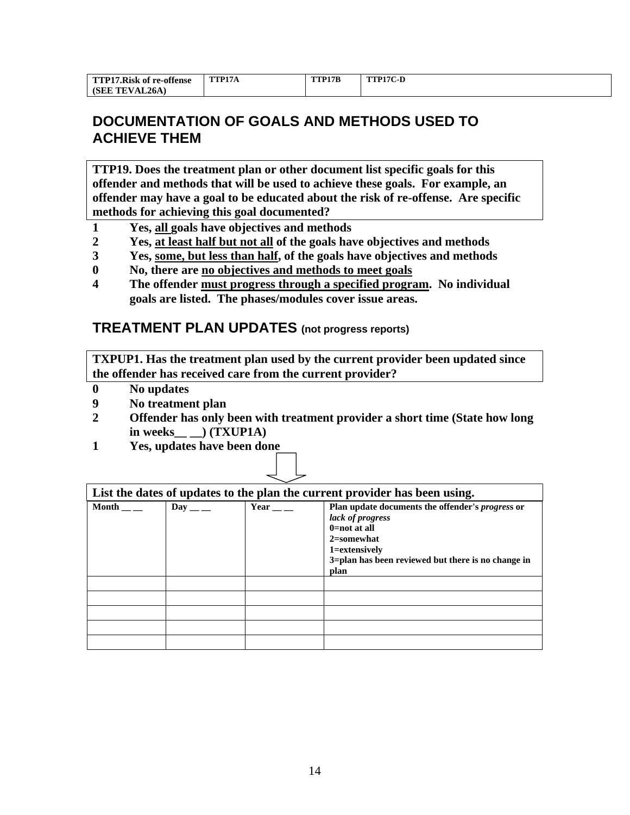| <b>TTP17.Risk of re-offense</b> | TTP17A | TTP17B | TTP17C-D |
|---------------------------------|--------|--------|----------|
| <b>NAL26A</b><br>(SEE<br>1Ŀ     |        |        |          |

# **DOCUMENTATION OF GOALS AND METHODS USED TO ACHIEVE THEM**

**TTP19. Does the treatment plan or other document list specific goals for this offender and methods that will be used to achieve these goals. For example, an offender may have a goal to be educated about the risk of re-offense. Are specific methods for achieving this goal documented?** 

- **1 Yes, all goals have objectives and methods**
- **2 Yes, at least half but not all of the goals have objectives and methods**
- **3 Yes, some, but less than half, of the goals have objectives and methods**
- **0 No, there are no objectives and methods to meet goals**
- **4 The offender must progress through a specified program. No individual goals are listed. The phases/modules cover issue areas.**

#### **TREATMENT PLAN UPDATES (not progress reports)**

**TXPUP1. Has the treatment plan used by the current provider been updated since the offender has received care from the current provider?** 

- **0 No updates**
- **9 No treatment plan**
- **2 Offender has only been with treatment provider a short time (State how long in weeks\_\_ \_\_) (TXUP1A)**
- **1 Yes, updates have been done**

| List the dates of updates to the plan the current provider has been using. |         |             |                                                                                                                                                                                                 |
|----------------------------------------------------------------------------|---------|-------------|-------------------------------------------------------------------------------------------------------------------------------------------------------------------------------------------------|
| Month                                                                      | Day — — | Year $\_\_$ | Plan update documents the offender's <i>progress</i> or<br>lack of progress<br>$0 = not at all$<br>$2$ =somewhat<br>1=extensively<br>3=plan has been reviewed but there is no change in<br>plan |
|                                                                            |         |             |                                                                                                                                                                                                 |
|                                                                            |         |             |                                                                                                                                                                                                 |
|                                                                            |         |             |                                                                                                                                                                                                 |
|                                                                            |         |             |                                                                                                                                                                                                 |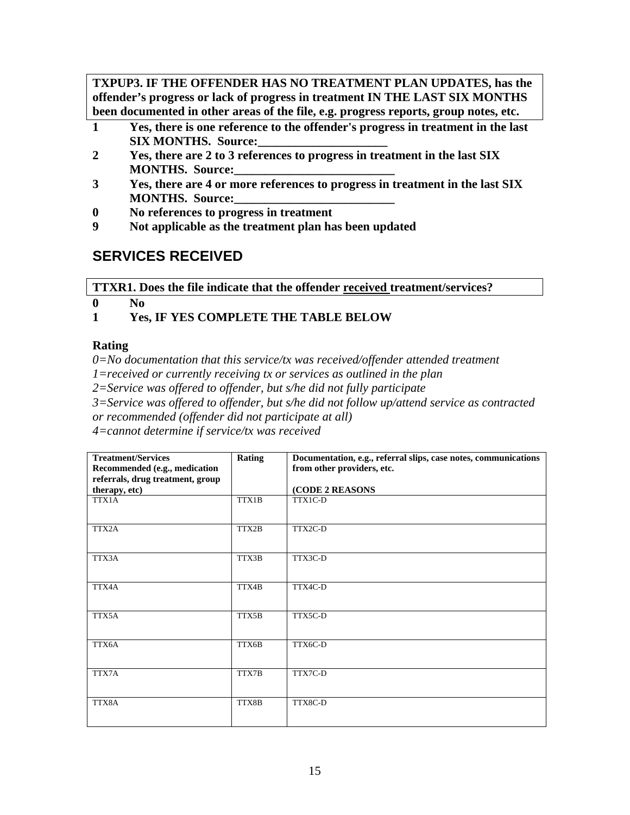**TXPUP3. IF THE OFFENDER HAS NO TREATMENT PLAN UPDATES, has the offender's progress or lack of progress in treatment IN THE LAST SIX MONTHS been documented in other areas of the file, e.g. progress reports, group notes, etc.** 

- **1 Yes, there is one reference to the offender's progress in treatment in the last SIX MONTHS. Source:\_\_\_\_\_\_\_\_\_\_\_\_\_\_\_\_\_\_\_\_\_**
- **2 Yes, there are 2 to 3 references to progress in treatment in the last SIX MONTHS.** Source:
- **3 Yes, there are 4 or more references to progress in treatment in the last SIX MONTHS.** Source:
- **0 No references to progress in treatment**
- **9 Not applicable as the treatment plan has been updated**

# **SERVICES RECEIVED**

**TTXR1. Does the file indicate that the offender received treatment/services?** 

**0 No** 

**1 Yes, IF YES COMPLETE THE TABLE BELOW** 

### **Rating**

*0=No documentation that this service/tx was received/offender attended treatment* 

*1=received or currently receiving tx or services as outlined in the plan* 

*2=Service was offered to offender, but s/he did not fully participate* 

*3=Service was offered to offender, but s/he did not follow up/attend service as contracted or recommended (offender did not participate at all)*

*4=cannot determine if service/tx was received* 

| <b>Treatment/Services</b>        | <b>Rating</b> | Documentation, e.g., referral slips, case notes, communications |
|----------------------------------|---------------|-----------------------------------------------------------------|
| Recommended (e.g., medication    |               | from other providers, etc.                                      |
| referrals, drug treatment, group |               |                                                                 |
| therapy, etc)                    |               | (CODE 2 REASONS                                                 |
| TTX1A                            | TTX1B         | TTX1C-D                                                         |
| TTX2A                            | TTX2B         | TTX2C-D                                                         |
| TTX3A                            | TTX3B         | TTX3C-D                                                         |
| TTX4A                            | TTX4B         | TTX4C-D                                                         |
| TTX5A                            | TTX5B         | TTX5C-D                                                         |
| TTX6A                            | TTX6B         | TTX6C-D                                                         |
| TTX7A                            | TTX7B         | TTX7C-D                                                         |
| TTX8A                            | TTX8B         | TTX8C-D                                                         |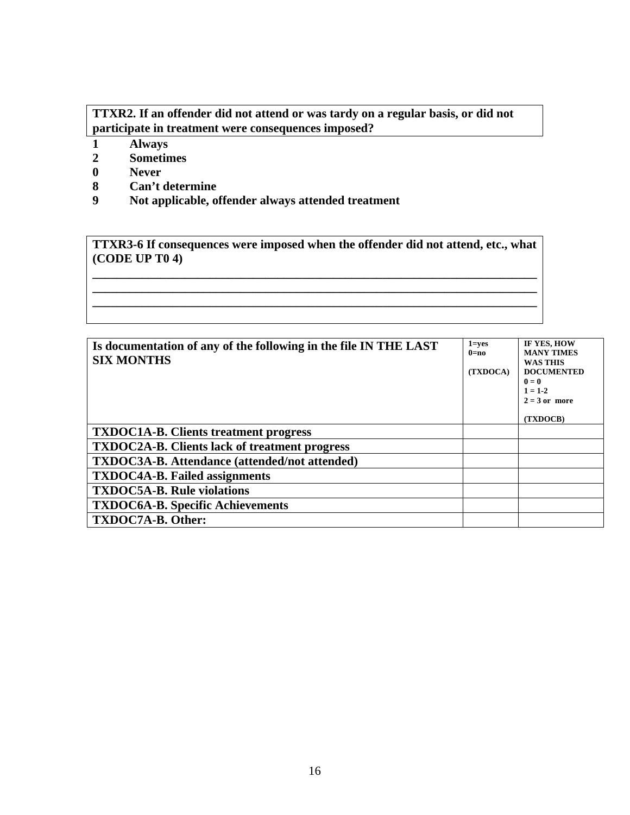#### **TTXR2. If an offender did not attend or was tardy on a regular basis, or did not participate in treatment were consequences imposed?**

- 
- **1 Always 2 Sometimes**
- **0 Never**
- **8 Can't determine**
- **9 Not applicable, offender always attended treatment**

**TTXR3-6 If consequences were imposed when the offender did not attend, etc., what (CODE UP T0 4)** 

**\_\_\_\_\_\_\_\_\_\_\_\_\_\_\_\_\_\_\_\_\_\_\_\_\_\_\_\_\_\_\_\_\_\_\_\_\_\_\_\_\_\_\_\_\_\_\_\_\_\_\_\_\_\_\_\_\_\_\_\_\_\_\_\_\_\_\_\_\_\_\_\_ \_\_\_\_\_\_\_\_\_\_\_\_\_\_\_\_\_\_\_\_\_\_\_\_\_\_\_\_\_\_\_\_\_\_\_\_\_\_\_\_\_\_\_\_\_\_\_\_\_\_\_\_\_\_\_\_\_\_\_\_\_\_\_\_\_\_\_\_\_\_\_\_ \_\_\_\_\_\_\_\_\_\_\_\_\_\_\_\_\_\_\_\_\_\_\_\_\_\_\_\_\_\_\_\_\_\_\_\_\_\_\_\_\_\_\_\_\_\_\_\_\_\_\_\_\_\_\_\_\_\_\_\_\_\_\_\_\_\_\_\_\_\_\_\_** 

| Is documentation of any of the following in the file IN THE LAST<br><b>SIX MONTHS</b> | $1 = ves$<br>$0=$ no<br>(TXDOCA) | IF YES, HOW<br><b>MANY TIMES</b><br><b>WAS THIS</b><br><b>DOCUMENTED</b><br>$\mathbf{0} = \mathbf{0}$<br>$1 = 1-2$ |
|---------------------------------------------------------------------------------------|----------------------------------|--------------------------------------------------------------------------------------------------------------------|
|                                                                                       |                                  | $2 = 3$ or more<br>(TXDOCB)                                                                                        |
| <b>TXDOC1A-B.</b> Clients treatment progress                                          |                                  |                                                                                                                    |
| <b>TXDOC2A-B.</b> Clients lack of treatment progress                                  |                                  |                                                                                                                    |
| <b>TXDOC3A-B.</b> Attendance (attended/not attended)                                  |                                  |                                                                                                                    |
| <b>TXDOC4A-B.</b> Failed assignments                                                  |                                  |                                                                                                                    |
| <b>TXDOC5A-B. Rule violations</b>                                                     |                                  |                                                                                                                    |
| <b>TXDOC6A-B. Specific Achievements</b>                                               |                                  |                                                                                                                    |
| TXDOC7A-B. Other:                                                                     |                                  |                                                                                                                    |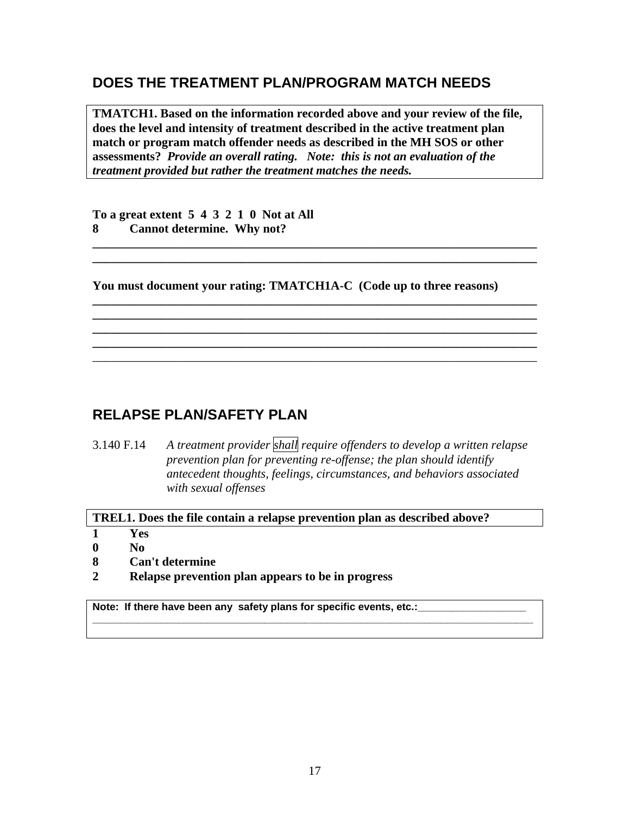### **DOES THE TREATMENT PLAN/PROGRAM MATCH NEEDS**

**TMATCH1. Based on the information recorded above and your review of the file, does the level and intensity of treatment described in the active treatment plan match or program match offender needs as described in the MH SOS or other assessments?** *Provide an overall rating. Note: this is not an evaluation of the treatment provided but rather the treatment matches the needs.* 

**\_\_\_\_\_\_\_\_\_\_\_\_\_\_\_\_\_\_\_\_\_\_\_\_\_\_\_\_\_\_\_\_\_\_\_\_\_\_\_\_\_\_\_\_\_\_\_\_\_\_\_\_\_\_\_\_\_\_\_\_\_\_\_\_\_\_\_\_\_\_\_\_ \_\_\_\_\_\_\_\_\_\_\_\_\_\_\_\_\_\_\_\_\_\_\_\_\_\_\_\_\_\_\_\_\_\_\_\_\_\_\_\_\_\_\_\_\_\_\_\_\_\_\_\_\_\_\_\_\_\_\_\_\_\_\_\_\_\_\_\_\_\_\_\_** 

**\_\_\_\_\_\_\_\_\_\_\_\_\_\_\_\_\_\_\_\_\_\_\_\_\_\_\_\_\_\_\_\_\_\_\_\_\_\_\_\_\_\_\_\_\_\_\_\_\_\_\_\_\_\_\_\_\_\_\_\_\_\_\_\_\_\_\_\_\_\_\_\_ \_\_\_\_\_\_\_\_\_\_\_\_\_\_\_\_\_\_\_\_\_\_\_\_\_\_\_\_\_\_\_\_\_\_\_\_\_\_\_\_\_\_\_\_\_\_\_\_\_\_\_\_\_\_\_\_\_\_\_\_\_\_\_\_\_\_\_\_\_\_\_\_ \_\_\_\_\_\_\_\_\_\_\_\_\_\_\_\_\_\_\_\_\_\_\_\_\_\_\_\_\_\_\_\_\_\_\_\_\_\_\_\_\_\_\_\_\_\_\_\_\_\_\_\_\_\_\_\_\_\_\_\_\_\_\_\_\_\_\_\_\_\_\_\_ \_\_\_\_\_\_\_\_\_\_\_\_\_\_\_\_\_\_\_\_\_\_\_\_\_\_\_\_\_\_\_\_\_\_\_\_\_\_\_\_\_\_\_\_\_\_\_\_\_\_\_\_\_\_\_\_\_\_\_\_\_\_\_\_\_\_\_\_\_\_\_\_**  \_\_\_\_\_\_\_\_\_\_\_\_\_\_\_\_\_\_\_\_\_\_\_\_\_\_\_\_\_\_\_\_\_\_\_\_\_\_\_\_\_\_\_\_\_\_\_\_\_\_\_\_\_\_\_\_\_\_\_\_\_\_\_\_\_\_\_\_\_\_\_\_

**To a great extent 5 4 3 2 1 0 Not at All 8 Cannot determine. Why not?** 

**You must document your rating: TMATCH1A-C (Code up to three reasons)** 

### **RELAPSE PLAN/SAFETY PLAN**

3.140 F.14 *A treatment provider shall require offenders to develop a written relapse prevention plan for preventing re-offense; the plan should identify antecedent thoughts, feelings, circumstances, and behaviors associated with sexual offenses* 

**\_\_\_\_\_\_\_\_\_\_\_\_\_\_\_\_\_\_\_\_\_\_\_\_\_\_\_\_\_\_\_\_\_\_\_\_\_\_\_\_\_\_\_\_\_\_\_\_\_\_\_\_\_\_\_\_\_\_\_\_\_\_\_\_\_\_\_\_\_\_\_\_\_\_\_\_\_**

**TREL1. Does the file contain a relapse prevention plan as described above?** 

- **1 Yes**
- **0 No**
- **8 Can't determine**
- **2 Relapse prevention plan appears to be in progress**

Note: If there have been any safety plans for specific events, etc.: